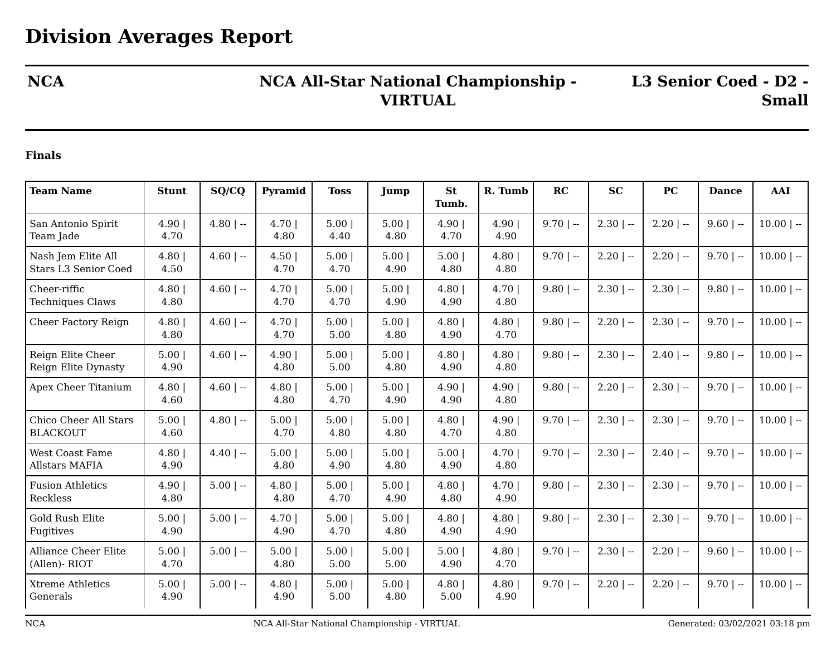## **NCA NCA All-Star National Championship - VIRTUAL**

**L3 Senior Coed - D2 - Small**

## **Finals**

| <b>Team Name</b>                                  | <b>Stunt</b> | SQ/CQ        | Pyramid        | <b>Toss</b>  | Jump          | <b>St</b><br>Tumb. | R. Tumb      | RC          | <b>SC</b>    | <b>PC</b>    | <b>Dance</b> | AAI          |
|---------------------------------------------------|--------------|--------------|----------------|--------------|---------------|--------------------|--------------|-------------|--------------|--------------|--------------|--------------|
| San Antonio Spirit<br>Team Jade                   | 4.90<br>4.70 | $4.80$   $-$ | 4.70  <br>4.80 | 5.00<br>4.40 | 5.00 <br>4.80 | 4.90<br>4.70       | 4.90<br>4.90 | $9.70$   -- | $2.30$   $-$ | $2.20$   $-$ | $9.60$   --  | $10.00$   -- |
| Nash Jem Elite All<br><b>Stars L3 Senior Coed</b> | 4.80<br>4.50 | $4.60$   --  | 4.50 <br>4.70  | 5.00<br>4.70 | 5.00<br>4.90  | 5.00<br>4.80       | 4.80<br>4.80 | $9.70$   -- | $2.20$   $-$ | $2.20$   --  | $9.70$   --  | $10.00$   -- |
| Cheer-riffic<br><b>Techniques Claws</b>           | 4.80<br>4.80 | $4.60$   --  | 4.70 <br>4.70  | 5.00<br>4.70 | 5.00<br>4.90  | 4.80<br>4.90       | 4.70<br>4.80 | $9.80$   -- | $2.30$   --  | $2.30$   --  | $9.80$   --  | $10.00$   -- |
| Cheer Factory Reign                               | 4.80<br>4.80 | $4.60$   --  | 4.70<br>4.70   | 5.00<br>5.00 | 5.00 <br>4.80 | 4.80<br>4.90       | 4.80<br>4.70 | $9.80$   -- | $2.20$   --  | $2.30$   --  | $9.70$   --  | $10.00$   -- |
| Reign Elite Cheer<br>Reign Elite Dynasty          | 5.00<br>4.90 | $4.60$   --  | 4.90 <br>4.80  | 5.00<br>5.00 | 5.00<br>4.80  | 4.80<br>4.90       | 4.80<br>4.80 | $9.80$   -- | $2.30$   $-$ | $2.40$   --  | $9.80$   --  | $10.00$   -- |
| Apex Cheer Titanium                               | 4.80<br>4.60 | $4.60$   --  | 4.80<br>4.80   | 5.00<br>4.70 | 5.00<br>4.90  | 4.90<br>4.90       | 4.90<br>4.80 | $9.80$   -- | $2.20$   --  | $2.30$   --  | $9.70$   --  | $10.00$   -- |
| Chico Cheer All Stars<br><b>BLACKOUT</b>          | 5.00<br>4.60 | $4.80$   --  | 5.00<br>4.70   | 5.00<br>4.80 | 5.00<br>4.80  | 4.80<br>4.70       | 4.90<br>4.80 | $9.70$   -- | $2.30$   --  | $2.30$   --  | $9.70$   --  | $10.00$   -- |
| <b>West Coast Fame</b><br><b>Allstars MAFIA</b>   | 4.80<br>4.90 | $4.40$   --  | 5.00 <br>4.80  | 5.00<br>4.90 | 5.00<br>4.80  | 5.00<br>4.90       | 4.70<br>4.80 | $9.70$   -- | $2.30$   $-$ | $2.40$   $-$ | $9.70$   --  | $10.00$   -- |
| <b>Fusion Athletics</b><br>Reckless               | 4.90<br>4.80 | $5.00$   --  | 4.80<br>4.80   | 5.00<br>4.70 | 5.00<br>4.90  | 4.80<br>4.80       | 4.70<br>4.90 | $9.80$   -- | $2.30$   --  | $2.30$   --  | $9.70$   --  | $10.00$   -- |
| Gold Rush Elite<br>Fugitives                      | 5.00<br>4.90 | $5.00$   --  | 4.70<br>4.90   | 5.00<br>4.70 | 5.00<br>4.80  | 4.80<br>4.90       | 4.80<br>4.90 | $9.80$   -- | $2.30$   --  | $2.30$   --  | $9.70$   --  | $10.00$   -- |
| <b>Alliance Cheer Elite</b><br>(Allen)-RIOT       | 5.00<br>4.70 | $5.00$   --  | 5.00 <br>4.80  | 5.00<br>5.00 | 5.00<br>5.00  | 5.00<br>4.90       | 4.80<br>4.70 | $9.70$   -- | $2.30$   $-$ | $2.20$   $-$ | $9.60$   --  | $10.00$   -- |
| <b>Xtreme Athletics</b><br>Generals               | 5.00<br>4.90 | $5.00$   --  | 4.80<br>4.90   | 5.00<br>5.00 | 5.00<br>4.80  | 4.80<br>5.00       | 4.80<br>4.90 | $9.70$   -- | $2.20$   --  | $2.20$   --  | $9.70$   --  | $10.00$   -- |